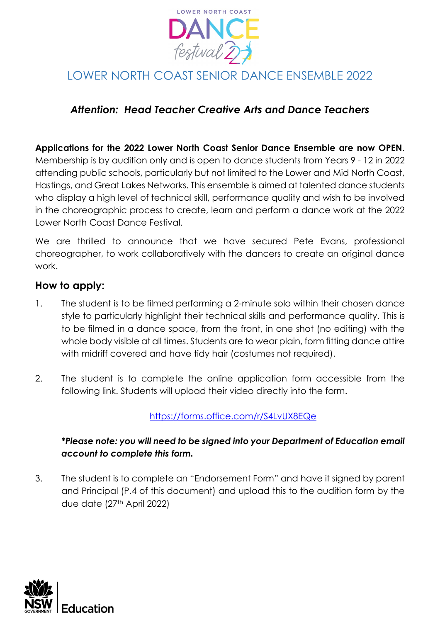

# LOWER NORTH COAST SENIOR DANCE ENSEMBLE 2022

## *Attention: Head Teacher Creative Arts and Dance Teachers*

### **Applications for the 2022 Lower North Coast Senior Dance Ensemble are now OPEN**. Membership is by audition only and is open to dance students from Years 9 - 12 in 2022 attending public schools, particularly but not limited to the Lower and Mid North Coast, Hastings, and Great Lakes Networks. This ensemble is aimed at talented dance students who display a high level of technical skill, performance quality and wish to be involved in the choreographic process to create, learn and perform a dance work at the 2022 Lower North Coast Dance Festival.

We are thrilled to announce that we have secured Pete Evans, professional choreographer, to work collaboratively with the dancers to create an original dance work.

### **How to apply:**

- 1. The student is to be filmed performing a 2-minute solo within their chosen dance style to particularly highlight their technical skills and performance quality. This is to be filmed in a dance space, from the front, in one shot (no editing) with the whole body visible at all times. Students are to wear plain, form fitting dance attire with midriff covered and have tidy hair (costumes not required).
- 2. The student is to complete the online application form accessible from the following link. Students will upload their video directly into the form.

### <https://forms.office.com/r/S4LvUX8EQe>

### *\*Please note: you will need to be signed into your Department of Education email account to complete this form.*

3. The student is to complete an "Endorsement Form" and have it signed by parent and Principal (P.4 of this document) and upload this to the audition form by the due date (27<sup>th</sup> April 2022)

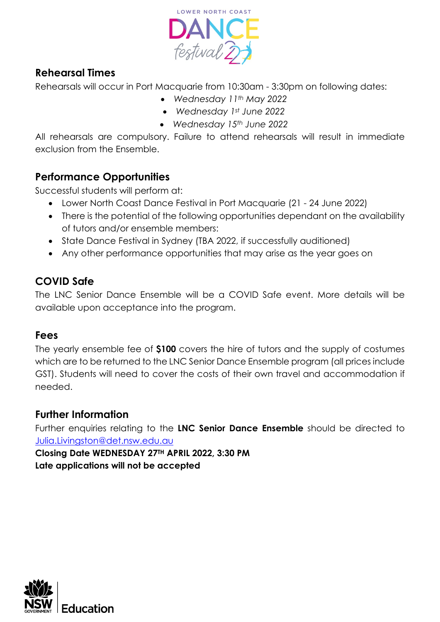

## **Rehearsal Times**

Rehearsals will occur in Port Macquarie from 10:30am - 3:30pm on following dates:

- *Wednesday 11th May 2022*
- *Wednesday 1st June 2022*
- *Wednesday 15th June 2022*

All rehearsals are compulsory. Failure to attend rehearsals will result in immediate exclusion from the Ensemble.

## **Performance Opportunities**

Successful students will perform at:

- Lower North Coast Dance Festival in Port Macquarie (21 24 June 2022)
- There is the potential of the following opportunities dependant on the availability of tutors and/or ensemble members:
- State Dance Festival in Sydney (TBA 2022, if successfully auditioned)
- Any other performance opportunities that may arise as the year goes on

## **COVID Safe**

The LNC Senior Dance Ensemble will be a COVID Safe event. More details will be available upon acceptance into the program.

## **Fees**

The yearly ensemble fee of **\$100** covers the hire of tutors and the supply of costumes which are to be returned to the LNC Senior Dance Ensemble program (all prices include GST). Students will need to cover the costs of their own travel and accommodation if needed.

### **Further Information**

Further enquiries relating to the **LNC Senior Dance Ensemble** should be directed to [Julia.Livingston@det.nsw.edu.au](mailto:Julia.Livingston@det.nsw.edu.au)

**Closing Date WEDNESDAY 27TH APRIL 2022, 3:30 PM Late applications will not be accepted**

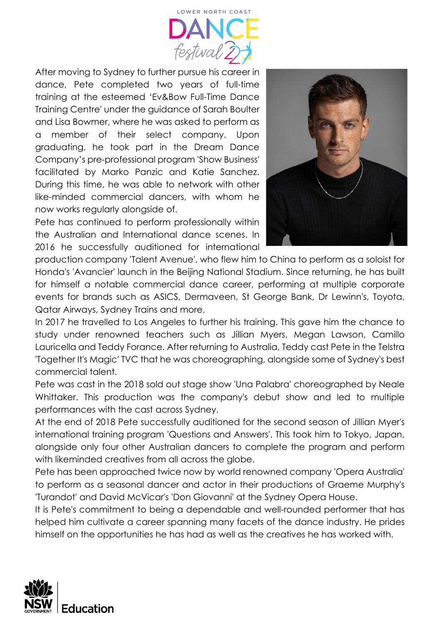

After moving to Sydney to further pursue his career in dance, Pete completed two years of full-time training at the esteemed 'Ev&Bow Full-Time Dance Training Centre' under the guidance of Sarah Boulter and Lisa Bowmer, where he was asked to perform as a member of their select company. Upon graduating, he took part in the Dream Dance Company's pre-professional program 'Show Business' facilitated by Marko Panzic and Katie Sanchez. During this time, he was able to network with other like-minded commercial dancers, with whom he now works regularly alongside of.

Pete has continued to perform professionally within the Australian and International dance scenes. In 2016 he successfully auditioned for international



production company 'Talent Avenue', who flew him to China to perform as a soloist for Honda's 'Avancier' launch in the Beijing National Stadium. Since returning, he has built for himself a notable commercial dance career, performing at multiple corporate events for brands such as ASICS, Dermaveen, St George Bank, Dr Lewinn's, Toyota, Qatar Airways, Sydney Trains and more.

In 2017 he travelled to Los Angeles to further his training. This gave him the chance to study under renowned teachers such as Jillian Myers, Megan Lawson, Camillo Lauricella and Teddy Forance. After returning to Australia, Teddy cast Pete in the Telstra 'Together It's Magic' TVC that he was choreographing, alongside some of Sydney's best commercial talent.

Pete was cast in the 2018 sold out stage show 'Una Palabra' choreographed by Neale Whittaker. This production was the company's debut show and led to multiple performances with the cast across Sydney.

At the end of 2018 Pete successfully auditioned for the second season of Jillian Myer's international training program 'Questions and Answers'. This took him to Tokyo, Japan, alongside only four other Australian dancers to complete the program and perform with likeminded creatives from all across the globe.

Pete has been approached twice now by world renowned company 'Opera Australia' to perform as a seasonal dancer and actor in their productions of Graeme Murphy's 'Turandot' and David McVicar's 'Don Giovanni' at the Sydney Opera House.

It is Pete's commitment to being a dependable and well-rounded performer that has helped him cultivate a career spanning many facets of the dance industry. He prides himself on the opportunities he has had as well as the creatives he has worked with.